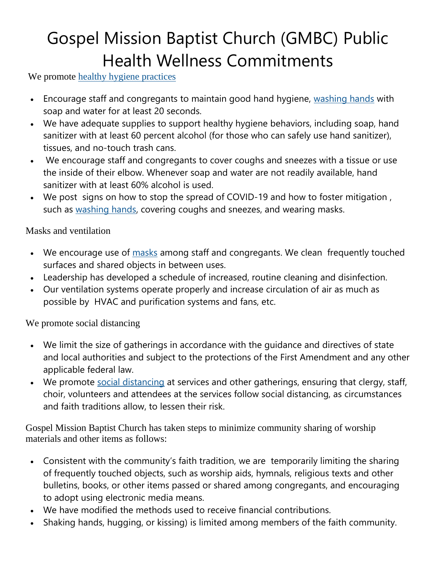# Gospel Mission Baptist Church (GMBC) Public Health Wellness Commitments

We promote [healthy hygiene practices](https://www.cdc.gov/coronavirus/2019-ncov/prevent-getting-sick/prevention.html)

- Encourage staff and congregants to maintain good hand hygiene, [washing hands](https://www.cdc.gov/handwashing/when-how-handwashing.html) with soap and water for at least 20 seconds.
- We have adequate supplies to support healthy hygiene behaviors, including soap, hand sanitizer with at least 60 percent alcohol (for those who can safely use hand sanitizer), tissues, and no-touch trash cans.
- We encourage staff and congregants to cover coughs and sneezes with a tissue or use the inside of their elbow. Whenever soap and water are not readily available, hand sanitizer with at least 60% alcohol is used.
- We post signs on how to stop the spread of COVID-19 and how to foster mitigation , such as [washing hands,](https://www.cdc.gov/handwashing/when-how-handwashing.html) covering coughs and sneezes, and wearing masks.

### Masks and ventilation

- We encourage use of [masks](https://www.cdc.gov/coronavirus/2019-ncov/prevent-getting-sick/diy-cloth-face-coverings.html) among staff and congregants. We clean frequently touched surfaces and shared objects in between uses.
- Leadership has developed a schedule of increased, routine cleaning and disinfection.
- Our ventilation systems operate properly and increase circulation of air as much as possible by HVAC and purification systems and fans, etc.

We promote social distancing

- We limit the size of gatherings in accordance with the guidance and directives of state and local authorities and subject to the protections of the First Amendment and any other applicable federal law.
- We promote [social distancing](https://www.cdc.gov/coronavirus/2019-ncov/prevent-getting-sick/social-distancing.html) at services and other gatherings, ensuring that clergy, staff, choir, volunteers and attendees at the services follow social distancing, as circumstances and faith traditions allow, to lessen their risk.

Gospel Mission Baptist Church has taken steps to minimize community sharing of worship materials and other items as follows:

- Consistent with the community's faith tradition, we are temporarily limiting the sharing of frequently touched objects, such as worship aids, hymnals, religious texts and other bulletins, books, or other items passed or shared among congregants, and encouraging to adopt using electronic media means.
- We have modified the methods used to receive financial contributions.
- Shaking hands, hugging, or kissing) is limited among members of the faith community.